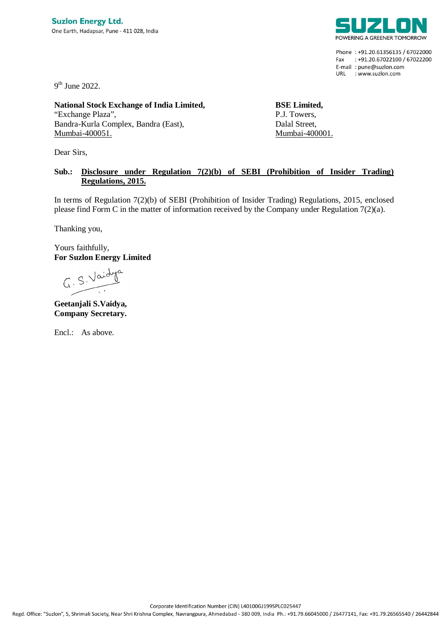

Phone: +91.20.61356135 / 67022000 Fax: +91.20.67022100 / 67022200 E-mail: pune@suzlon.com URL : www.suzlon.com

9<sup>th</sup> June 2022.

**National Stock Exchange of India Limited,** "Exchange Plaza", Bandra-Kurla Complex, Bandra (East), Mumbai-400051.

Dear Sirs,

**BSE Limited,** P.J. Towers, Dalal Street, Mumbai-400001.

## **Sub.: Disclosure under Regulation 7(2)(b) of SEBI (Prohibition of Insider Trading) Regulations, 2015.**

In terms of Regulation 7(2)(b) of SEBI (Prohibition of Insider Trading) Regulations, 2015, enclosed please find Form C in the matter of information received by the Company under Regulation 7(2)(a).

Thanking you,

Yours faithfully, **For Suzlon Energy Limited**

 $G. S. Vaid$ 

**Geetanjali S.Vaidya, Company Secretary.**

Encl.: As above.